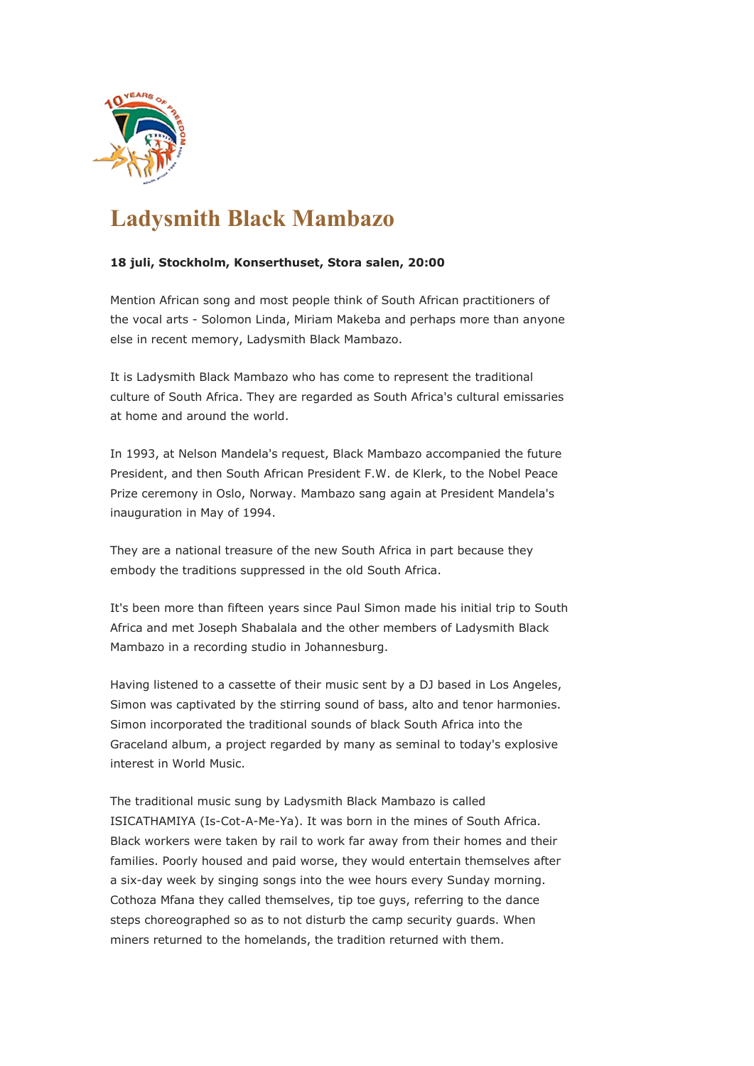

## **Ladysmith Black Mambazo**

## **18 juli, Stockholm, Konserthuset, Stora salen, 20:00**

Mention African song and most people think of South African practitioners of the vocal arts - Solomon Linda, Miriam Makeba and perhaps more than anyone else in recent memory, Ladysmith Black Mambazo.

It is Ladysmith Black Mambazo who has come to represent the traditional culture of South Africa. They are regarded as South Africa's cultural emissaries at home and around the world.

In 1993, at Nelson Mandela's request, Black Mambazo accompanied the future President, and then South African President F.W. de Klerk, to the Nobel Peace Prize ceremony in Oslo, Norway. Mambazo sang again at President Mandela's inauguration in May of 1994.

They are a national treasure of the new South Africa in part because they embody the traditions suppressed in the old South Africa.

It's been more than fifteen years since Paul Simon made his initial trip to South Africa and met Joseph Shabalala and the other members of Ladysmith Black Mambazo in a recording studio in Johannesburg.

Having listened to a cassette of their music sent by a DJ based in Los Angeles, Simon was captivated by the stirring sound of bass, alto and tenor harmonies. Simon incorporated the traditional sounds of black South Africa into the Graceland album, a project regarded by many as seminal to today's explosive interest in World Music.

The traditional music sung by Ladysmith Black Mambazo is called ISICATHAMIYA (Is-Cot-A-Me-Ya). It was born in the mines of South Africa. Black workers were taken by rail to work far away from their homes and their families. Poorly housed and paid worse, they would entertain themselves after a six-day week by singing songs into the wee hours every Sunday morning. Cothoza Mfana they called themselves, tip toe guys, referring to the dance steps choreographed so as to not disturb the camp security guards. When miners returned to the homelands, the tradition returned with them.